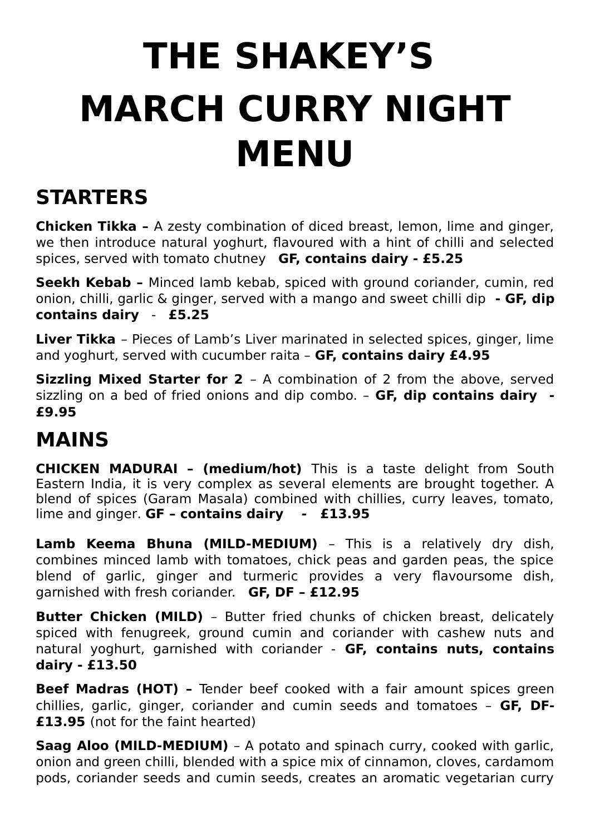## **THE SHAKEY'S MARCH CURRY NIGHT MENU**

## **STARTERS**

**Chicken Tikka –** A zesty combination of diced breast, lemon, lime and ginger, we then introduce natural yoghurt, flavoured with a hint of chilli and selected spices, served with tomato chutney **GF, contains dairy - £5.25**

**Seekh Kebab –** Minced lamb kebab, spiced with ground coriander, cumin, red onion, chilli, garlic & ginger, served with a mango and sweet chilli dip **- GF, dip contains dairy** - **£5.25**

**Liver Tikka** – Pieces of Lamb's Liver marinated in selected spices, ginger, lime and yoghurt, served with cucumber raita – **GF, contains dairy £4.95**

**Sizzling Mixed Starter for 2** – A combination of 2 from the above, served sizzling on a bed of fried onions and dip combo. – **GF, dip contains dairy - £9.95**

## **MAINS**

**CHICKEN MADURAI – (medium/hot)** This is a taste delight from South Eastern India, it is very complex as several elements are brought together. A blend of spices (Garam Masala) combined with chillies, curry leaves, tomato, lime and ginger. **GF – contains dairy - £13.95**

**Lamb Keema Bhuna (MILD-MEDIUM)** – This is a relatively dry dish, combines minced lamb with tomatoes, chick peas and garden peas, the spice blend of garlic, ginger and turmeric provides a very flavoursome dish, garnished with fresh coriander. **GF, DF – £12.95**

**Butter Chicken (MILD)** - Butter fried chunks of chicken breast, delicately spiced with fenugreek, ground cumin and coriander with cashew nuts and natural yoghurt, garnished with coriander - **GF, contains nuts, contains dairy - £13.50**

**Beef Madras (HOT) -** Tender beef cooked with a fair amount spices green chillies, garlic, ginger, coriander and cumin seeds and tomatoes – **GF, DF- £13.95** (not for the faint hearted)

**Saag Aloo (MILD-MEDIUM)** - A potato and spinach curry, cooked with garlic, onion and green chilli, blended with a spice mix of cinnamon, cloves, cardamom pods, coriander seeds and cumin seeds, creates an aromatic vegetarian curry